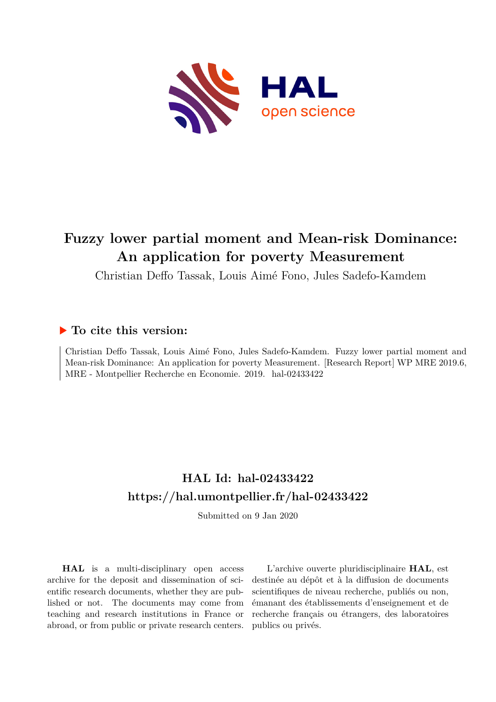

# **Fuzzy lower partial moment and Mean-risk Dominance: An application for poverty Measurement**

Christian Deffo Tassak, Louis Aimé Fono, Jules Sadefo-Kamdem

#### **To cite this version:**

Christian Deffo Tassak, Louis Aimé Fono, Jules Sadefo-Kamdem. Fuzzy lower partial moment and Mean-risk Dominance: An application for poverty Measurement. [Research Report] WP MRE 2019.6, MRE - Montpellier Recherche en Economie. 2019. hal-02433422

## **HAL Id: hal-02433422 <https://hal.umontpellier.fr/hal-02433422>**

Submitted on 9 Jan 2020

**HAL** is a multi-disciplinary open access archive for the deposit and dissemination of scientific research documents, whether they are published or not. The documents may come from teaching and research institutions in France or abroad, or from public or private research centers.

L'archive ouverte pluridisciplinaire **HAL**, est destinée au dépôt et à la diffusion de documents scientifiques de niveau recherche, publiés ou non, émanant des établissements d'enseignement et de recherche français ou étrangers, des laboratoires publics ou privés.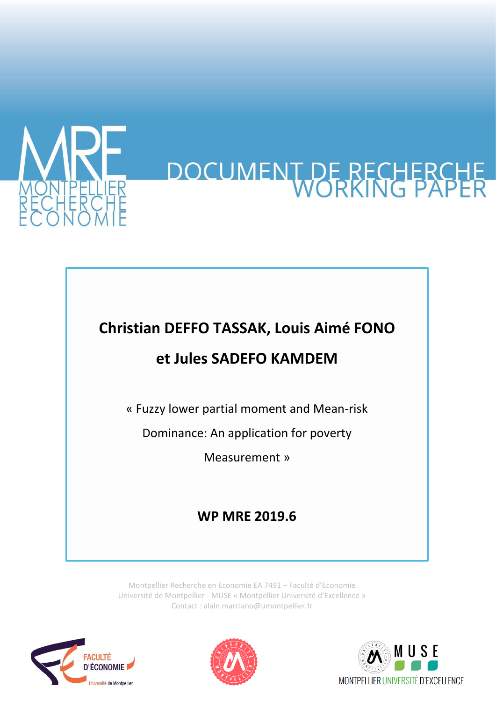

# DOCUMENT DE RECHERCHE

# **Christian DEFFO TASSAK, Louis Aimé FONO**

# **et Jules SADEFO KAMDEM**

« Fuzzy lower partial moment and Mean-risk

Dominance: An application for poverty

Measurement »

# **WP MRE 2019.6**

Montpellier Recherche en Economie EA 7491 – Faculté d'Economie Université de Montpellier - MUSE « Montpellier Université d'Excellence » Contact : alain.marciano@umontpellier.fr





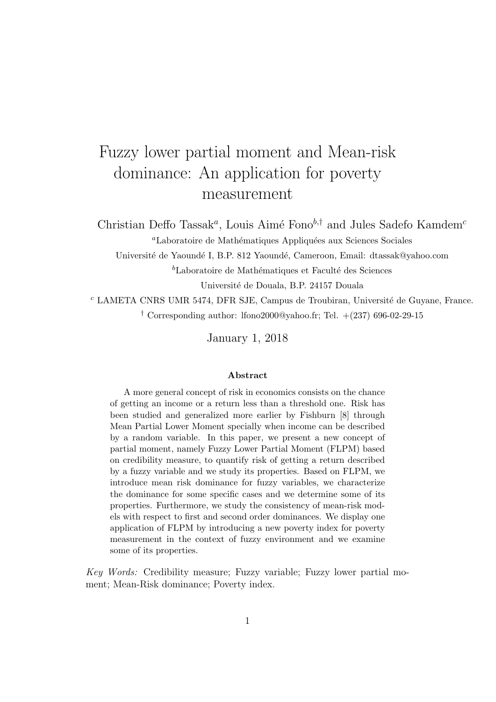# Fuzzy lower partial moment and Mean-risk dominance: An application for poverty measurement

Christian Deffo Tassak<sup>a</sup>, Louis Aimé Fono<sup>b,†</sup> and Jules Sadefo Kamdem<sup>c</sup>

<sup>a</sup>Laboratoire de Mathématiques Appliquées aux Sciences Sociales

Université de Yaoundé I, B.P. 812 Yaoundé, Cameroon, Email: dtassak@yahoo.com

 ${}^{b}$ Laboratoire de Mathématiques et Faculté des Sciences

Universit´e de Douala, B.P. 24157 Douala

 $c$  LAMETA CNRS UMR 5474, DFR SJE, Campus de Troubiran, Université de Guyane, France. <sup>†</sup> Corresponding author: lfono2000@yahoo.fr; Tel.  $+(237)$  696-02-29-15

January 1, 2018

#### Abstract

A more general concept of risk in economics consists on the chance of getting an income or a return less than a threshold one. Risk has been studied and generalized more earlier by Fishburn [8] through Mean Partial Lower Moment specially when income can be described by a random variable. In this paper, we present a new concept of partial moment, namely Fuzzy Lower Partial Moment (FLPM) based on credibility measure, to quantify risk of getting a return described by a fuzzy variable and we study its properties. Based on FLPM, we introduce mean risk dominance for fuzzy variables, we characterize the dominance for some specific cases and we determine some of its properties. Furthermore, we study the consistency of mean-risk models with respect to first and second order dominances. We display one application of FLPM by introducing a new poverty index for poverty measurement in the context of fuzzy environment and we examine some of its properties.

Key Words: Credibility measure; Fuzzy variable; Fuzzy lower partial moment; Mean-Risk dominance; Poverty index.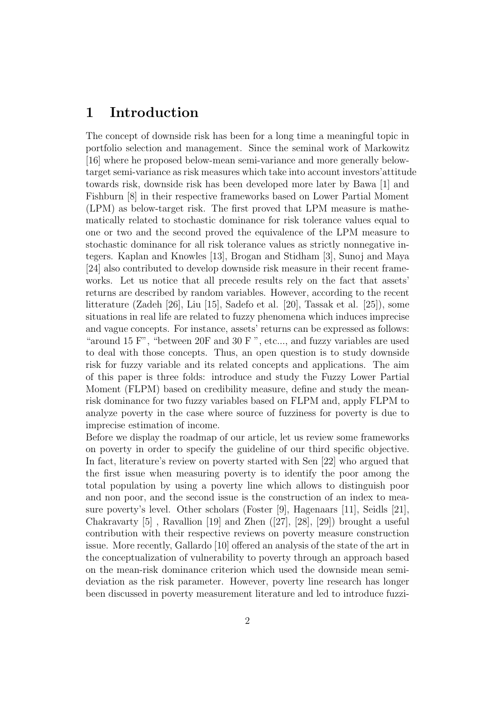### 1 Introduction

The concept of downside risk has been for a long time a meaningful topic in portfolio selection and management. Since the seminal work of Markowitz [16] where he proposed below-mean semi-variance and more generally belowtarget semi-variance as risk measures which take into account investors'attitude towards risk, downside risk has been developed more later by Bawa [1] and Fishburn [8] in their respective frameworks based on Lower Partial Moment (LPM) as below-target risk. The first proved that LPM measure is mathematically related to stochastic dominance for risk tolerance values equal to one or two and the second proved the equivalence of the LPM measure to stochastic dominance for all risk tolerance values as strictly nonnegative integers. Kaplan and Knowles [13], Brogan and Stidham [3], Sunoj and Maya [24] also contributed to develop downside risk measure in their recent frameworks. Let us notice that all precede results rely on the fact that assets' returns are described by random variables. However, according to the recent litterature (Zadeh [26], Liu [15], Sadefo et al. [20], Tassak et al. [25]), some situations in real life are related to fuzzy phenomena which induces imprecise and vague concepts. For instance, assets' returns can be expressed as follows: "around 15 F", "between 20F and 30 F ", etc..., and fuzzy variables are used to deal with those concepts. Thus, an open question is to study downside risk for fuzzy variable and its related concepts and applications. The aim of this paper is three folds: introduce and study the Fuzzy Lower Partial Moment (FLPM) based on credibility measure, define and study the meanrisk dominance for two fuzzy variables based on FLPM and, apply FLPM to analyze poverty in the case where source of fuzziness for poverty is due to imprecise estimation of income.

Before we display the roadmap of our article, let us review some frameworks on poverty in order to specify the guideline of our third specific objective. In fact, literature's review on poverty started with Sen [22] who argued that the first issue when measuring poverty is to identify the poor among the total population by using a poverty line which allows to distinguish poor and non poor, and the second issue is the construction of an index to measure poverty's level. Other scholars (Foster [9], Hagenaars [11], Seidls [21], Chakravarty  $[5]$ , Ravallion  $[19]$  and Zhen  $([27], [28], [29])$  brought a useful contribution with their respective reviews on poverty measure construction issue. More recently, Gallardo [10] offered an analysis of the state of the art in the conceptualization of vulnerability to poverty through an approach based on the mean-risk dominance criterion which used the downside mean semideviation as the risk parameter. However, poverty line research has longer been discussed in poverty measurement literature and led to introduce fuzzi-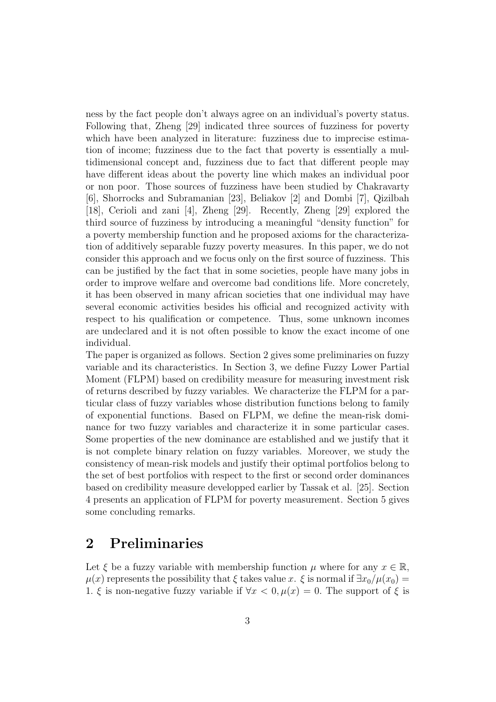ness by the fact people don't always agree on an individual's poverty status. Following that, Zheng [29] indicated three sources of fuzziness for poverty which have been analyzed in literature: fuzziness due to imprecise estimation of income; fuzziness due to the fact that poverty is essentially a multidimensional concept and, fuzziness due to fact that different people may have different ideas about the poverty line which makes an individual poor or non poor. Those sources of fuzziness have been studied by Chakravarty [6], Shorrocks and Subramanian [23], Beliakov [2] and Dombi [7], Qizilbah [18], Cerioli and zani [4], Zheng [29]. Recently, Zheng [29] explored the third source of fuzziness by introducing a meaningful "density function" for a poverty membership function and he proposed axioms for the characterization of additively separable fuzzy poverty measures. In this paper, we do not consider this approach and we focus only on the first source of fuzziness. This can be justified by the fact that in some societies, people have many jobs in order to improve welfare and overcome bad conditions life. More concretely, it has been observed in many african societies that one individual may have several economic activities besides his official and recognized activity with respect to his qualification or competence. Thus, some unknown incomes are undeclared and it is not often possible to know the exact income of one individual.

The paper is organized as follows. Section 2 gives some preliminaries on fuzzy variable and its characteristics. In Section 3, we define Fuzzy Lower Partial Moment (FLPM) based on credibility measure for measuring investment risk of returns described by fuzzy variables. We characterize the FLPM for a particular class of fuzzy variables whose distribution functions belong to family of exponential functions. Based on FLPM, we define the mean-risk dominance for two fuzzy variables and characterize it in some particular cases. Some properties of the new dominance are established and we justify that it is not complete binary relation on fuzzy variables. Moreover, we study the consistency of mean-risk models and justify their optimal portfolios belong to the set of best portfolios with respect to the first or second order dominances based on credibility measure developped earlier by Tassak et al. [25]. Section 4 presents an application of FLPM for poverty measurement. Section 5 gives some concluding remarks.

## 2 Preliminaries

Let  $\xi$  be a fuzzy variable with membership function  $\mu$  where for any  $x \in \mathbb{R}$ ,  $\mu(x)$  represents the possibility that  $\xi$  takes value x.  $\xi$  is normal if  $\exists x_0/\mu(x_0) =$ 1. ξ is non-negative fuzzy variable if  $\forall x < 0, \mu(x) = 0$ . The support of ξ is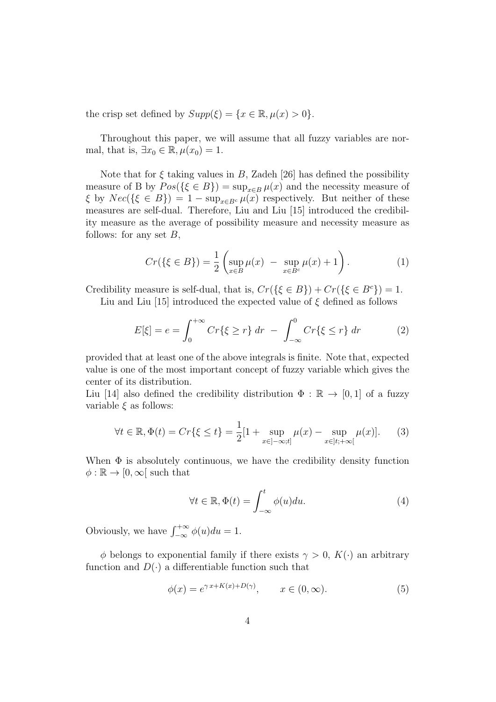the crisp set defined by  $Supp(\xi) = \{x \in \mathbb{R}, \mu(x) > 0\}.$ 

Throughout this paper, we will assume that all fuzzy variables are normal, that is,  $\exists x_0 \in \mathbb{R}, \mu(x_0) = 1.$ 

Note that for  $\xi$  taking values in B, Zadeh [26] has defined the possibility measure of B by  $Pos({\{\xi \in B\}}) = \sup_{x \in B} \mu(x)$  and the necessity measure of  $\xi$  by  $Nec({\{\xi \in B\}}) = 1 - \sup_{x \in B^c} \mu(x)$  respectively. But neither of these measures are self-dual. Therefore, Liu and Liu [15] introduced the credibility measure as the average of possibility measure and necessity measure as follows: for any set  $B$ ,

$$
Cr(\{\xi \in B\}) = \frac{1}{2} \left( \sup_{x \in B} \mu(x) - \sup_{x \in B^c} \mu(x) + 1 \right). \tag{1}
$$

Credibility measure is self-dual, that is,  $Cr({\{\xi \in B\}}) + Cr({\{\xi \in B^c\}}) = 1$ .

Liu and Liu [15] introduced the expected value of  $\xi$  defined as follows

$$
E[\xi] = e = \int_0^{+\infty} Cr\{\xi \ge r\} dr - \int_{-\infty}^0 Cr\{\xi \le r\} dr \tag{2}
$$

provided that at least one of the above integrals is finite. Note that, expected value is one of the most important concept of fuzzy variable which gives the center of its distribution.

Liu [14] also defined the credibility distribution  $\Phi : \mathbb{R} \to [0,1]$  of a fuzzy variable  $\xi$  as follows:

$$
\forall t \in \mathbb{R}, \Phi(t) = Cr\{\xi \le t\} = \frac{1}{2}[1 + \sup_{x \in ]-\infty; t]} \mu(x) - \sup_{x \in ]t; +\infty[} \mu(x)]. \tag{3}
$$

When  $\Phi$  is absolutely continuous, we have the credibility density function  $\phi : \mathbb{R} \to [0, \infty)$  such that

$$
\forall t \in \mathbb{R}, \Phi(t) = \int_{-\infty}^{t} \phi(u) du.
$$
 (4)

Obviously, we have  $\int_{-\infty}^{+\infty} \phi(u) du = 1$ .

 $\phi$  belongs to exponential family if there exists  $\gamma > 0$ ,  $K(\cdot)$  an arbitrary function and  $D(\cdot)$  a differentiable function such that

$$
\phi(x) = e^{\gamma x + K(x) + D(\gamma)}, \qquad x \in (0, \infty). \tag{5}
$$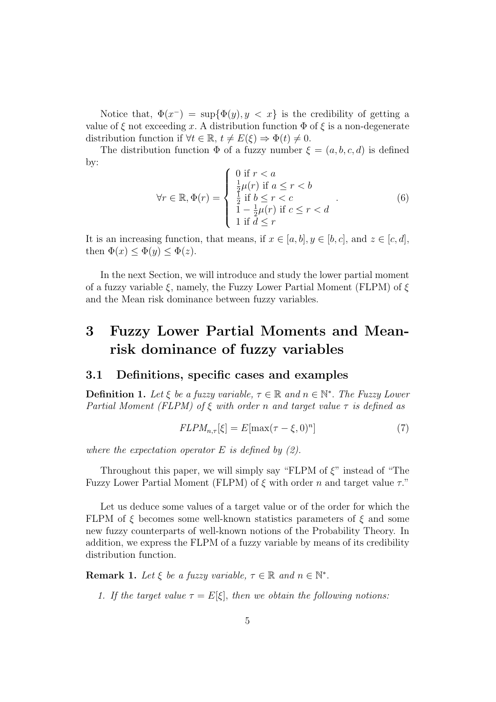Notice that,  $\Phi(x^-) = \sup{\Phi(y), y < x}$  is the credibility of getting a value of  $\xi$  not exceeding x. A distribution function  $\Phi$  of  $\xi$  is a non-degenerate distribution function if  $\forall t \in \mathbb{R}, t \neq E(\xi) \Rightarrow \Phi(t) \neq 0$ .

The distribution function  $\Phi$  of a fuzzy number  $\xi = (a, b, c, d)$  is defined by:  $\epsilon \sim 10^{-10}$ 

$$
\forall r \in \mathbb{R}, \Phi(r) = \begin{cases} 0 \text{ if } r < a \\ \frac{1}{2}\mu(r) \text{ if } a \le r < b \\ \frac{1}{2} \text{ if } b \le r < c \\ 1 - \frac{1}{2}\mu(r) \text{ if } c \le r < d \\ 1 \text{ if } d \le r \end{cases} \tag{6}
$$

It is an increasing function, that means, if  $x \in [a, b]$ ,  $y \in [b, c]$ , and  $z \in [c, d]$ , then  $\Phi(x) \leq \Phi(y) \leq \Phi(z)$ .

In the next Section, we will introduce and study the lower partial moment of a fuzzy variable  $\xi$ , namely, the Fuzzy Lower Partial Moment (FLPM) of  $\xi$ and the Mean risk dominance between fuzzy variables.

## 3 Fuzzy Lower Partial Moments and Meanrisk dominance of fuzzy variables

#### 3.1 Definitions, specific cases and examples

**Definition 1.** Let  $\xi$  be a fuzzy variable,  $\tau \in \mathbb{R}$  and  $n \in \mathbb{N}^*$ . The Fuzzy Lower Partial Moment (FLPM) of  $\xi$  with order n and target value  $\tau$  is defined as

$$
FLPM_{n,\tau}[\xi] = E[\max(\tau - \xi, 0)^n]
$$
\n(7)

where the expectation operator  $E$  is defined by  $(2)$ .

Throughout this paper, we will simply say "FLPM of  $\xi$ " instead of "The Fuzzy Lower Partial Moment (FLPM) of  $\xi$  with order n and target value  $\tau$ ."

Let us deduce some values of a target value or of the order for which the FLPM of  $\xi$  becomes some well-known statistics parameters of  $\xi$  and some new fuzzy counterparts of well-known notions of the Probability Theory. In addition, we express the FLPM of a fuzzy variable by means of its credibility distribution function.

**Remark 1.** Let  $\xi$  be a fuzzy variable,  $\tau \in \mathbb{R}$  and  $n \in \mathbb{N}^*$ .

1. If the target value  $\tau = E[\xi]$ , then we obtain the following notions: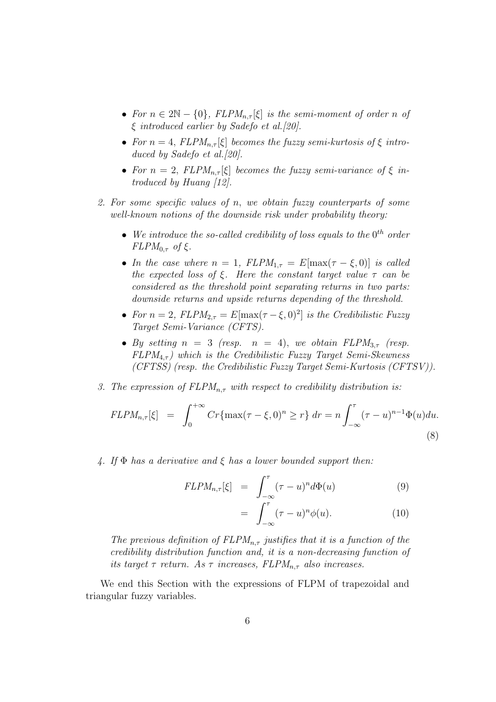- For  $n \in 2\mathbb{N} \{0\}$ ,  $FLPM_{n,\tau}[\xi]$  is the semi-moment of order n of ξ introduced earlier by Sadefo et al.[20].
- For  $n = 4$ ,  $FLPM_{n,\tau}[\xi]$  becomes the fuzzy semi-kurtosis of  $\xi$  introduced by Sadefo et al. [20].
- For  $n = 2$ ,  $FLPM_{n,\tau}[\xi]$  becomes the fuzzy semi-variance of  $\xi$  introduced by Huang [12].
- 2. For some specific values of n, we obtain fuzzy counterparts of some well-known notions of the downside risk under probability theory:
	- We introduce the so-called credibility of loss equals to the  $0^{th}$  order  $FLPM_{0,\tau}$  of ξ.
	- In the case where  $n = 1$ ,  $FLPM_{1,\tau} = E[\max(\tau \xi, 0)]$  is called the expected loss of ξ. Here the constant target value  $\tau$  can be considered as the threshold point separating returns in two parts: downside returns and upside returns depending of the threshold.
	- For  $n = 2$ ,  $FLPM_{2,\tau} = E[\max(\tau \xi, 0)^2]$  is the Credibilistic Fuzzy Target Semi-Variance (CFTS).
	- By setting  $n = 3$  (resp.  $n = 4$ ), we obtain  $FLPM_{3,\tau}$  (resp.  $FLPM_{4,\tau}$ ) which is the Credibilistic Fuzzy Target Semi-Skewness (CFTSS) (resp. the Credibilistic Fuzzy Target Semi-Kurtosis (CFTSV)).
- 3. The expression of  $FLPM_{n,\tau}$  with respect to credibility distribution is:

$$
FLPM_{n,\tau}[\xi] = \int_0^{+\infty} Cr\{\max(\tau-\xi,0)^n \ge r\} dr = n \int_{-\infty}^{\tau} (\tau-u)^{n-1} \Phi(u) du.
$$
\n(8)

4. If  $\Phi$  has a derivative and  $\xi$  has a lower bounded support then:

$$
FLPM_{n,\tau}[\xi] = \int_{-\infty}^{\tau} (\tau - u)^n d\Phi(u) \tag{9}
$$

$$
= \int_{-\infty}^{\tau} (\tau - u)^n \phi(u). \tag{10}
$$

The previous definition of  $FLPM_{n,\tau}$  justifies that it is a function of the credibility distribution function and, it is a non-decreasing function of its target  $\tau$  return. As  $\tau$  increases,  $FLPM_{n,\tau}$  also increases.

We end this Section with the expressions of FLPM of trapezoidal and triangular fuzzy variables.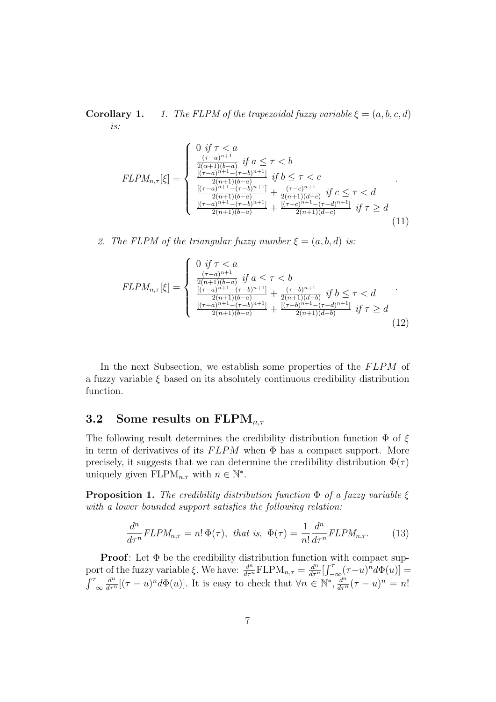**Corollary 1.** 1. The FLPM of the trapezoidal fuzzy variable  $\xi = (a, b, c, d)$ is:

$$
FLPM_{n,\tau}[\xi] = \begin{cases} 0 & \text{if } \tau < a \\ \frac{(\tau - a)^{n+1}}{2(\alpha + 1)(b - a)} & \text{if } a \leq \tau < b \\ \frac{[(\tau - a)^{n+1} - (\tau - b)^{n+1}]}{2(n+1)(b - a)} & \text{if } b \leq \tau < c \\ \frac{[(\tau - a)^{n+1} - (\tau - b)^{n+1}]}{2(n+1)(b - a)} + \frac{(\tau - c)^{n+1}}{2(n+1)(d - c)} & \text{if } c \leq \tau < d \\ \frac{[(\tau - a)^{n+1} - (\tau - b)^{n+1}]}{2(n+1)(b - a)} + \frac{[(\tau - c)^{n+1} - (\tau - d)^{n+1}]}{2(n+1)(d - c)} & \text{if } \tau \geq d \end{cases} (11)
$$

2. The FLPM of the triangular fuzzy number  $\xi = (a, b, d)$  is:

$$
FLPM_{n,\tau}[\xi] = \begin{cases} 0 & \text{if } \tau < a \\ \frac{(\tau - a)^{n+1}}{2(n+1)(b-a)} & \text{if } a \le \tau < b \\ \frac{[(\tau - a)^{n+1} - (\tau - b)^{n+1}]}{2(n+1)(b-a)} + \frac{(\tau - b)^{n+1}}{2(n+1)(d-b)} & \text{if } b \le \tau < d \\ \frac{[(\tau - a)^{n+1} - (\tau - b)^{n+1}]}{2(n+1)(b-a)} + \frac{[(\tau - b)^{n+1} - (\tau - d)^{n+1}]}{2(n+1)(d-b)} & \text{if } \tau \ge d \end{cases} (12)
$$

In the next Subsection, we establish some properties of the FLPM of a fuzzy variable  $\xi$  based on its absolutely continuous credibility distribution function.

#### 3.2 Some results on  $\text{FLPM}_{n,\tau}$

The following result determines the credibility distribution function  $\Phi$  of  $\xi$ in term of derivatives of its  $FLPM$  when  $\Phi$  has a compact support. More precisely, it suggests that we can determine the credibility distribution  $\Phi(\tau)$ uniquely given  $FLPM_{n,\tau}$  with  $n \in \mathbb{N}^*$ .

**Proposition 1.** The credibility distribution function  $\Phi$  of a fuzzy variable  $\xi$ with a lower bounded support satisfies the following relation:

$$
\frac{d^n}{d\tau^n} FLPM_{n,\tau} = n! \Phi(\tau), \text{ that is, } \Phi(\tau) = \frac{1}{n!} \frac{d^n}{d\tau^n} FLPM_{n,\tau}.
$$
 (13)

**Proof:** Let  $\Phi$  be the credibility distribution function with compact support of the fuzzy variable  $\xi$ . We have:  $\frac{d^n}{d\tau^n} \text{FLPM}_{n,\tau} = \frac{d^n}{d\tau^n} \left[ \int_{-\infty}^{\tau} (\tau - u)^n d\Phi(u) \right] =$  $\int_{-\infty}^{\tau}$  $\frac{d^n}{d\tau^n}[(\tau-u)^n d\Phi(u)]$ . It is easy to check that  $\forall n \in \mathbb{N}^*, \frac{d^n}{d\tau^n}(\tau-u)^n = n!$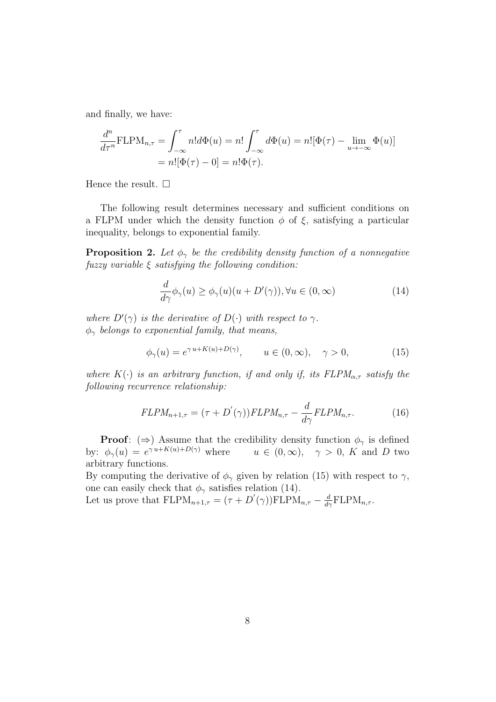and finally, we have:

$$
\frac{d^n}{d\tau^n} \text{FLPM}_{n,\tau} = \int_{-\infty}^{\tau} n! d\Phi(u) = n! \int_{-\infty}^{\tau} d\Phi(u) = n! [\Phi(\tau) - \lim_{u \to -\infty} \Phi(u)]
$$

$$
= n! [\Phi(\tau) - 0] = n! \Phi(\tau).
$$

Hence the result.  $\square$ 

The following result determines necessary and sufficient conditions on a FLPM under which the density function  $\phi$  of  $\xi$ , satisfying a particular inequality, belongs to exponential family.

**Proposition 2.** Let  $\phi_{\gamma}$  be the credibility density function of a nonnegative fuzzy variable  $\xi$  satisfying the following condition:

$$
\frac{d}{d\gamma}\phi_{\gamma}(u) \ge \phi_{\gamma}(u)(u + D'(\gamma)), \forall u \in (0, \infty)
$$
\n(14)

where  $D'(\gamma)$  is the derivative of  $D(\cdot)$  with respect to  $\gamma$ .  $\phi_{\gamma}$  belongs to exponential family, that means,

$$
\phi_{\gamma}(u) = e^{\gamma u + K(u) + D(\gamma)}, \qquad u \in (0, \infty), \quad \gamma > 0,
$$
 (15)

where  $K(\cdot)$  is an arbitrary function, if and only if, its  $FLPM_{\alpha,\tau}$  satisfy the following recurrence relationship:

$$
FLPM_{n+1,\tau} = (\tau + D'(\gamma))FLPM_{n,\tau} - \frac{d}{d\gamma}FLPM_{n,\tau}.
$$
 (16)

**Proof:** ( $\Rightarrow$ ) Assume that the credibility density function  $\phi_{\gamma}$  is defined by:  $\phi_{\gamma}(u) = e^{\gamma u + K(u) + D(\gamma)}$  where  $u \in (0,\infty), \quad \gamma > 0, K$  and D two arbitrary functions.

By computing the derivative of  $\phi_{\gamma}$  given by relation (15) with respect to  $\gamma$ , one can easily check that  $\phi_{\gamma}$  satisfies relation (14).

Let us prove that  $FLPM_{n+1,\tau} = (\tau + D'(\gamma))FLPM_{n,\tau} - \frac{d}{d\gamma} FLPM_{n,\tau}$ .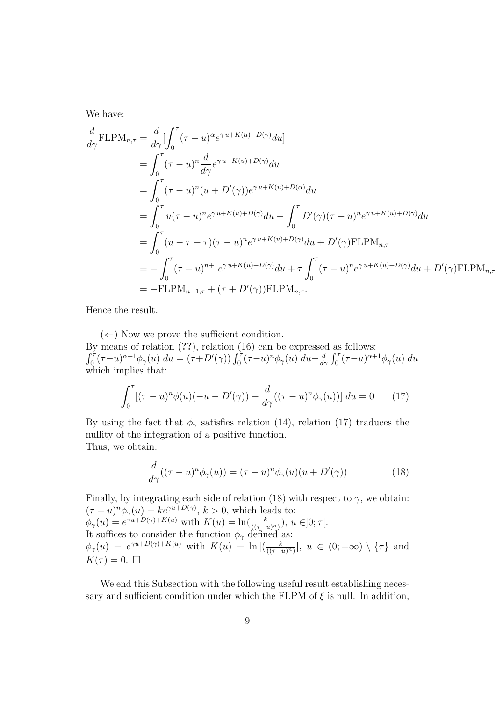We have:

$$
\frac{d}{d\gamma} \text{FLPM}_{n,\tau} = \frac{d}{d\gamma} \left[ \int_0^{\tau} (\tau - u)^{\alpha} e^{\gamma u + K(u) + D(\gamma)} du \right]
$$
\n
$$
= \int_0^{\tau} (\tau - u)^n \frac{d}{d\gamma} e^{\gamma u + K(u) + D(\gamma)} du
$$
\n
$$
= \int_0^{\tau} (\tau - u)^n (u + D'(\gamma)) e^{\gamma u + K(u) + D(\alpha)} du
$$
\n
$$
= \int_0^{\tau} u(\tau - u)^n e^{\gamma u + K(u) + D(\gamma)} du + \int_0^{\tau} D'(\gamma) (\tau - u)^n e^{\gamma u + K(u) + D(\gamma)} du
$$
\n
$$
= \int_0^{\tau} (u - \tau + \tau) (\tau - u)^n e^{\gamma u + K(u) + D(\gamma)} du + D'(\gamma) \text{FLPM}_{n,\tau}
$$
\n
$$
= - \int_0^{\tau} (\tau - u)^{n+1} e^{\gamma u + K(u) + D(\gamma)} du + \tau \int_0^{\tau} (\tau - u)^n e^{\gamma u + K(u) + D(\gamma)} du + D'(\gamma) \text{FLPM}_{n,\tau}
$$
\n
$$
= - \text{FLPM}_{n+1,\tau} + (\tau + D'(\gamma)) \text{FLPM}_{n,\tau}.
$$

Hence the result.

 $(\Leftarrow)$  Now we prove the sufficient condition. By means of relation (??), relation (16) can be expressed as follows:  $\int_0^{\tau} (\tau-u)^{\alpha+1} \phi_{\gamma}(u) du = (\tau+D'(\gamma)) \int_0^{\tau} (\tau-u)^n \phi_{\gamma}(u) du - \frac{d}{d\gamma}$  $\frac{d}{d\gamma} \int_0^{\tau} (\tau - u)^{\alpha + 1} \phi_{\gamma}(u) du$ which implies that:

$$
\int_0^\tau \left[ (\tau - u)^n \phi(u)(-u - D'(\gamma)) + \frac{d}{d\gamma} ((\tau - u)^n \phi_\gamma(u)) \right] du = 0 \qquad (17)
$$

By using the fact that  $\phi_{\gamma}$  satisfies relation (14), relation (17) traduces the nullity of the integration of a positive function. Thus, we obtain:

$$
\frac{d}{d\gamma}((\tau - u)^n \phi_\gamma(u)) = (\tau - u)^n \phi_\gamma(u)(u + D'(\gamma))\tag{18}
$$

Finally, by integrating each side of relation (18) with respect to  $\gamma$ , we obtain:  $(\tau - u)^n \phi_\gamma(u) = k e^{\gamma u + D(\gamma)}, k > 0$ , which leads to:  $\phi_{\gamma}(u) = e^{\gamma u + D(\gamma) + K(u)}$  with  $K(u) = \ln(\frac{k}{((\tau - u)^n)})$ ,  $u \in ]0; \tau[$ . It suffices to consider the function  $\phi_{\gamma}$  defined as:  $\phi_{\gamma}(u) = e^{\gamma u + D(\gamma) + K(u)}$  with  $K(u) = \ln \left| \left( \frac{k}{(1 - \gamma)} \right) \right|$  $\frac{k}{((\tau-u)^n)}$ ,  $u \in (0,+\infty) \setminus {\tau}$  and  $K(\tau) = 0. \ \Box$ 

We end this Subsection with the following useful result establishing necessary and sufficient condition under which the FLPM of  $\xi$  is null. In addition,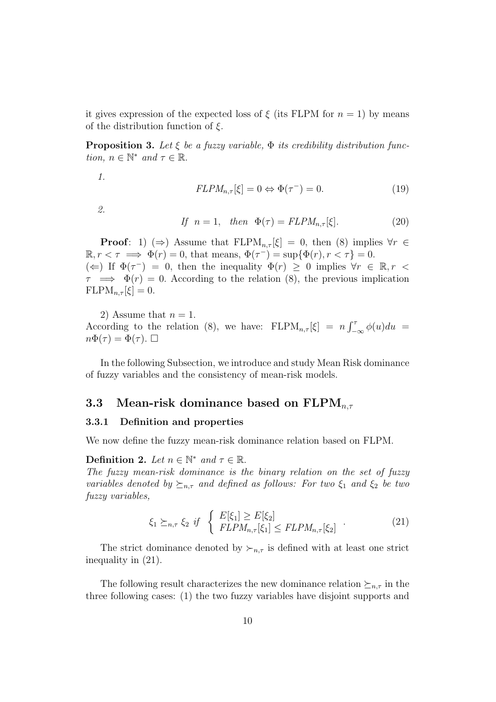it gives expression of the expected loss of  $\xi$  (its FLPM for  $n = 1$ ) by means of the distribution function of  $\xi$ .

**Proposition 3.** Let  $\xi$  be a fuzzy variable,  $\Phi$  its credibility distribution function,  $n \in \mathbb{N}^*$  and  $\tau \in \mathbb{R}$ .

1.

$$
FLPM_{n,\tau}[\xi] = 0 \Leftrightarrow \Phi(\tau^-) = 0. \tag{19}
$$

2.

If 
$$
n = 1
$$
, then  $\Phi(\tau) = FLPM_{n,\tau}[\xi]$ . (20)

**Proof:** 1)  $(\Rightarrow)$  Assume that FLPM<sub>n, $\tau$ </sub>[ $\xi$ ] = 0, then (8) implies  $\forall r \in$  $\mathbb{R}, r < \tau \implies \Phi(r) = 0$ , that means,  $\Phi(\tau^{-}) = \sup{\Phi(r), r < \tau} = 0$ .  $(\Leftarrow)$  If  $\Phi(\tau^{-}) = 0$ , then the inequality  $\Phi(r) \geq 0$  implies  $\forall r \in \mathbb{R}, r <$  $\tau \implies \Phi(r) = 0$ . According to the relation (8), the previous implication  $FLPM_{n,\tau}[\xi] = 0.$ 

2) Assume that  $n = 1$ . According to the relation (8), we have:  $FLPM_{n,\tau}[\xi] = n \int_{-\infty}^{\tau} \phi(u) du =$  $n\Phi(\tau) = \Phi(\tau)$ .

In the following Subsection, we introduce and study Mean Risk dominance of fuzzy variables and the consistency of mean-risk models.

#### 3.3 Mean-risk dominance based on  $\text{FLPM}_{n,\tau}$

#### 3.3.1 Definition and properties

We now define the fuzzy mean-risk dominance relation based on FLPM.

Definition 2. Let  $n \in \mathbb{N}^*$  and  $\tau \in \mathbb{R}$ .

The fuzzy mean-risk dominance is the binary relation on the set of fuzzy variables denoted by  $\succeq_{n,\tau}$  and defined as follows: For two  $\xi_1$  and  $\xi_2$  be two fuzzy variables,

$$
\xi_1 \succeq_{n,\tau} \xi_2 \quad \text{if} \quad \begin{cases} E[\xi_1] \ge E[\xi_2] \\ FLPM_{n,\tau}[\xi_1] \le FLPM_{n,\tau}[\xi_2] \end{cases} \tag{21}
$$

The strict dominance denoted by  $\succ_{n,\tau}$  is defined with at least one strict inequality in (21).

The following result characterizes the new dominance relation  $\succeq_{n,\tau}$  in the three following cases: (1) the two fuzzy variables have disjoint supports and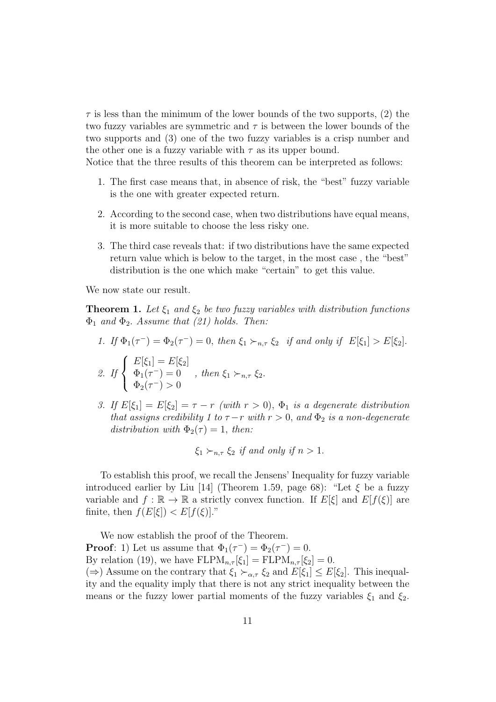$\tau$  is less than the minimum of the lower bounds of the two supports, (2) the two fuzzy variables are symmetric and  $\tau$  is between the lower bounds of the two supports and (3) one of the two fuzzy variables is a crisp number and the other one is a fuzzy variable with  $\tau$  as its upper bound.

Notice that the three results of this theorem can be interpreted as follows:

- 1. The first case means that, in absence of risk, the "best" fuzzy variable is the one with greater expected return.
- 2. According to the second case, when two distributions have equal means, it is more suitable to choose the less risky one.
- 3. The third case reveals that: if two distributions have the same expected return value which is below to the target, in the most case , the "best" distribution is the one which make "certain" to get this value.

We now state our result.

 $\mathcal{L}$ 

 $\Phi_2(\tau^-) > 0$ 

**Theorem 1.** Let  $\xi_1$  and  $\xi_2$  be two fuzzy variables with distribution functions  $\Phi_1$  and  $\Phi_2$ . Assume that (21) holds. Then:

\n- 1. If 
$$
\Phi_1(\tau^-) = \Phi_2(\tau^-) = 0
$$
, then  $\xi_1 \succ_{n,\tau} \xi_2$  if and only if  $E[\xi_1] > E[\xi_2]$ .
\n- 2. If  $\begin{cases} E[\xi_1] = E[\xi_2] \\ \Phi_1(\tau^-) = 0 \\ \Phi_2(\tau^-) = 0 \end{cases}$ , then  $\xi_1 \succ_{n,\tau} \xi_2$ .
\n

3. If  $E[\xi_1] = E[\xi_2] = \tau - r$  (with  $r > 0$ ),  $\Phi_1$  is a degenerate distribution that assigns credibility 1 to  $\tau - r$  with  $r > 0$ , and  $\Phi_2$  is a non-degenerate distribution with  $\Phi_2(\tau) = 1$ , then:

$$
\xi_1 \succ_{n,\tau} \xi_2
$$
 if and only if  $n > 1$ .

To establish this proof, we recall the Jensens' Inequality for fuzzy variable introduced earlier by Liu [14] (Theorem 1.59, page 68): "Let  $\xi$  be a fuzzy variable and  $f : \mathbb{R} \to \mathbb{R}$  a strictly convex function. If  $E[\xi]$  and  $E[f(\xi)]$  are finite, then  $f(E[\xi]) < E[f(\xi)]$ ."

We now establish the proof of the Theorem. **Proof**: 1) Let us assume that  $\Phi_1(\tau^-) = \Phi_2(\tau^-) = 0$ . By relation (19), we have  $FLPM_{n,\tau}[\xi_1] = FLPM_{n,\tau}[\xi_2] = 0.$  $(\Rightarrow)$  Assume on the contrary that  $\xi_1 \succ_{\alpha,\tau} \xi_2$  and  $E[\xi_1] \leq E[\xi_2]$ . This inequality and the equality imply that there is not any strict inequality between the means or the fuzzy lower partial moments of the fuzzy variables  $\xi_1$  and  $\xi_2$ .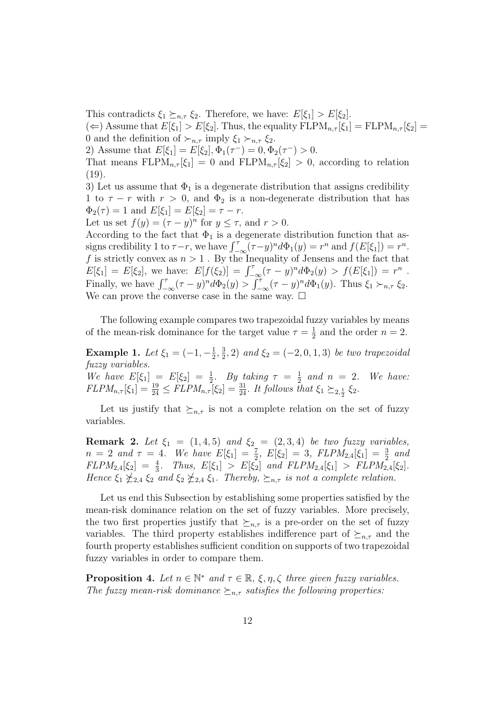This contradicts  $\xi_1 \succeq_{n,\tau} \xi_2$ . Therefore, we have:  $E[\xi_1] > E[\xi_2]$ .

( $\Leftarrow$ ) Assume that  $E[\xi_1] > E[\xi_2]$ . Thus, the equality  $FLPM_{n,\tau}[\xi_1] = FLPM_{n,\tau}[\xi_2] =$ 0 and the definition of  $\succ_{n,\tau}$  imply  $\xi_1 \succ_{n,\tau} \xi_2$ .

2) Assume that  $E[\xi_1] = E[\xi_2], \Phi_1(\tau^-) = 0, \Phi_2(\tau^-) > 0.$ 

That means  $FLPM_{n,\tau}[\xi_1] = 0$  and  $FLPM_{n,\tau}[\xi_2] > 0$ , according to relation (19).

3) Let us assume that  $\Phi_1$  is a degenerate distribution that assigns credibility 1 to  $\tau - r$  with  $r > 0$ , and  $\Phi_2$  is a non-degenerate distribution that has  $\Phi_2(\tau) = 1$  and  $E[\xi_1] = E[\xi_2] = \tau - r$ .

Let us set  $f(y) = (\tau - y)^n$  for  $y \leq \tau$ , and  $r > 0$ .

According to the fact that  $\Phi_1$  is a degenerate distribution function that assigns credibility 1 to  $\tau-r$ , we have  $\int_{-\infty}^{\tau} (\tau-y)^n d\Phi_1(y) = r^n$  and  $f(E[\xi_1]) = r^n$ . f is strictly convex as  $n > 1$ . By the Inequality of Jensens and the fact that  $E[\xi_1] = E[\xi_2],$  we have:  $E[f(\xi_2)] = \int_{-\infty}^{\tau} (\tau - y)^n d\Phi_2(y) > f(E[\xi_1]) = r^n$ . Finally, we have  $\int_{-\infty}^{\tau} (\tau - y)^n d\Phi_2(y) > \int_{-\infty}^{\tau} (\tau - y)^n d\Phi_1(y)$ . Thus  $\xi_1 \succ_{n,\tau} \xi_2$ . We can prove the converse case in the same way.  $\square$ 

The following example compares two trapezoidal fuzzy variables by means of the mean-risk dominance for the target value  $\tau = \frac{1}{2}$  $\frac{1}{2}$  and the order  $n = 2$ .

**Example 1.** Let  $\xi_1 = (-1, -\frac{1}{2})$  $\frac{1}{2}$ ,  $\frac{3}{2}$  $(\frac{3}{2}, 2)$  and  $\xi_2 = (-2, 0, 1, 3)$  be two trapezoidal fuzzy variables. We have  $E[\xi_1] = E[\xi_2] = \frac{1}{2}$ . By taking  $\tau = \frac{1}{2}$  $\frac{1}{2}$  and  $n = 2$ . We have:

 $FLPM_{n,\tau}[\xi_1] = \frac{19}{24} \leq FLPM_{n,\tau}[\xi_2] = \frac{31}{24}$ . It follows that  $\xi_1 \succeq_{2,\frac{1}{2}} \xi_2$ .

Let us justify that  $\succeq_{n,\tau}$  is not a complete relation on the set of fuzzy variables.

**Remark 2.** Let  $\xi_1 = (1, 4, 5)$  and  $\xi_2 = (2, 3, 4)$  be two fuzzy variables,  $n = 2$  and  $\tau = 4$ . We have  $E[\xi_1] = \frac{7}{2}$ ,  $E[\xi_2] = 3$ ,  $FLPM_{2,4}[\xi_1] = \frac{3}{2}$  and  $FLPM_{2,4}[\xi_2] = \frac{4}{3}$ . Thus,  $E[\xi_1] > E[\xi_2]$  and  $FLPM_{2,4}[\xi_1] > FLPM_{2,4}[\xi_2]$ . Hence  $\xi_1 \nleq_{2,4} \xi_2$  and  $\xi_2 \nleq_{2,4} \xi_1$ . Thereby,  $\succeq_{n,\tau}$  is not a complete relation.

Let us end this Subsection by establishing some properties satisfied by the mean-risk dominance relation on the set of fuzzy variables. More precisely, the two first properties justify that  $\succeq_{n,\tau}$  is a pre-order on the set of fuzzy variables. The third property establishes indifference part of  $\succeq_{n,\tau}$  and the fourth property establishes sufficient condition on supports of two trapezoidal fuzzy variables in order to compare them.

**Proposition 4.** Let  $n \in \mathbb{N}^*$  and  $\tau \in \mathbb{R}$ ,  $\xi, \eta, \zeta$  three given fuzzy variables. The fuzzy mean-risk dominance  $\succeq_{n,\tau}$  satisfies the following properties: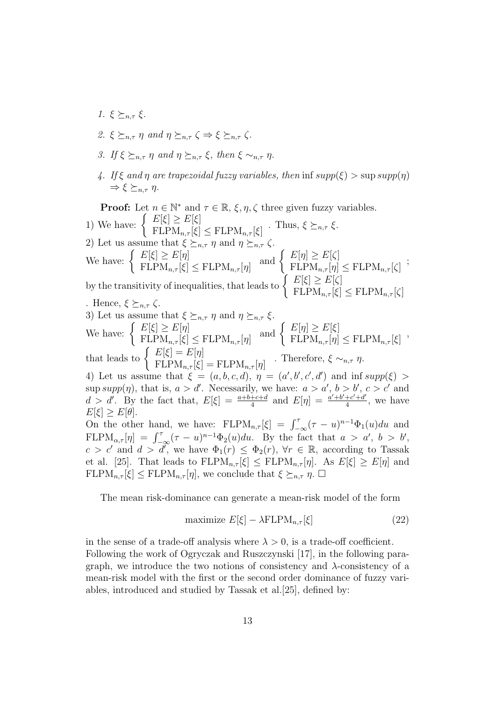- 1.  $\xi \succ_{n \tau} \xi$ .
- 2. ξ  $\succ_{n,\tau} \eta$  and  $\eta \succ_{n,\tau} \zeta \Rightarrow \xi \succ_{n,\tau} \zeta$ .
- 3. If  $\xi \succ_{n,\tau} \eta$  and  $\eta \succ_{n,\tau} \xi$ , then  $\xi \sim_{n,\tau} \eta$ .
- 4. If  $\xi$  and  $\eta$  are trapezoidal fuzzy variables, then inf supp( $\xi$ )  $>$  sup supp( $\eta$ )  $\Rightarrow \xi \succ_{n \tau} \eta.$

**Proof:** Let  $n \in \mathbb{N}^*$  and  $\tau \in \mathbb{R}$ ,  $\xi, \eta, \zeta$  three given fuzzy variables. 1) We have:  $\left\{\begin{array}{c} E[\xi] \geq E[\xi] \ E[\text{DM} - \text{G}]\end{array}\right.$  $E[\mathcal{S}] \leq E[\mathcal{S}] \leq \text{FLPM}_{n,\tau}[\xi]$ . Thus,  $\xi \succeq_{n,\tau} \xi$ . 2) Let us assume that  $\xi \succeq_{n,\tau} \eta$  and  $\eta \succeq_{n,\tau} \zeta$ . We have:  $\left\{ \begin{array}{l} E[\xi] \geq E[\eta] \ E[\text{DM} - [\epsilon]] \end{array} \right.$  $FLPM_{n,\tau}[\xi] \leq FLPM_{n,\tau}[\eta]$ and  $\left\{ \begin{array}{c} E[\eta] \geq E[\zeta] \ E[\text{DM} - [\eta]] \end{array} \right.$  $E[Y] \leq E[\varsigma]$ <br>FLP $M_{n,\tau}[\eta] \leq FLPM_{n,\tau}[\zeta]$ ; by the transitivity of inequalities, that leads to  $\begin{cases} E[\xi] \ge E[\zeta] \end{cases}$  $FLPM_{n,\tau}[\xi] \leq FLPM_{n,\tau}[\zeta]$ . Hence,  $\xi \succeq_{n,\tau} \zeta$ . 3) Let us assume that  $\xi \succeq_{n,\tau} \eta$  and  $\eta \succeq_{n,\tau} \xi$ . We have:  $\left\{ \begin{array}{c} E[\xi] \geq E[\eta] \ E[\text{ DM}] \leq \epsilon \end{array} \right.$  $FLPM_{n,\tau}[\xi] \leq FLPM_{n,\tau}[\eta]$ and  $\left\{ \begin{array}{c} E[\eta] \geq E[\xi] \end{array} \right.$  $FL[M_{n,\tau}[\eta] \leq FLPM_{n,\tau}[\xi]$ , that leads to  $\begin{cases} E[\xi] = E[\eta] \ E[\text{DM}[\xi]] \end{cases}$  $E[\mathcal{S}] = E[\eta]$ <br>FLPM<sub>n,τ</sub> $[\xi] =$ FLPM<sub>n,τ</sub>[ $\eta$ ] · Therefore,  $\xi \sim_{n,\tau} \eta$ . 4) Let us assume that  $\xi = (a, b, c, d), \eta = (a', b', c', d')$  and inf supp( $\xi$ ) >  $\overline{1}$ sup  $supp(\eta)$ , that is,  $a > d'$ . Necessarily, we have:  $a > a'$ ,  $b > b'$ ,  $c > c'$  and  $d > d'$ . By the fact that,  $E[\xi] = \frac{a+b+c+d}{4}$  and  $E[\eta] = \frac{a'+b'+c'+d'}{4}$  $\frac{+c'+d'}{4}$ , we have  $E[\xi] \geq E[\theta].$ On the other hand, we have:  $FLPM_{n,\tau}[\xi] = \int_{-\infty}^{\tau} (\tau - u)^{n-1} \Phi_1(u) du$  and FLP $M_{\alpha,\tau}[\eta] = \int_{-\infty}^{\tau} (\tau - u)^{n-1} \Phi_2(u) du$ . By the fact that  $a > a'$ ,  $b > b'$ ,  $c > c'$  and  $d > d'$ , we have  $\Phi_1(r) \leq \Phi_2(r)$ ,  $\forall r \in \mathbb{R}$ , according to Tassak et al. [25]. That leads to  $FLPM_{n,\tau}[\xi] \le FLPM_{n,\tau}[\eta]$ . As  $E[\xi] \ge E[\eta]$  and  $FLPM_{n,\tau}[\xi] \leq FLPM_{n,\tau}[\eta]$ , we conclude that  $\xi \succeq_{n,\tau} \eta$ .  $\square$ 

The mean risk-dominance can generate a mean-risk model of the form

$$
\text{maximize } E[\xi] - \lambda \text{FLPM}_{n,\tau}[\xi] \tag{22}
$$

in the sense of a trade-off analysis where  $\lambda > 0$ , is a trade-off coefficient. Following the work of Ogryczak and Ruszczynski [17], in the following paragraph, we introduce the two notions of consistency and  $\lambda$ -consistency of a mean-risk model with the first or the second order dominance of fuzzy variables, introduced and studied by Tassak et al.[25], defined by: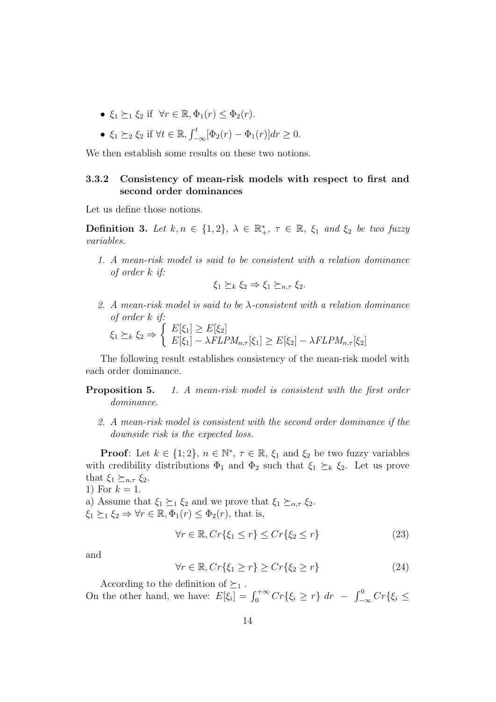- $\xi_1 \succ_1 \xi_2$  if  $\forall r \in \mathbb{R}, \Phi_1(r) \leq \Phi_2(r)$ .
- $\xi_1 \succeq_2 \xi_2$  if  $\forall t \in \mathbb{R}, \int_{-\infty}^t [\Phi_2(r) \Phi_1(r)] dr \ge 0.$

We then establish some results on these two notions.

#### 3.3.2 Consistency of mean-risk models with respect to first and second order dominances

Let us define those notions.

**Definition 3.** Let  $k, n \in \{1, 2\}, \lambda \in \mathbb{R}^*, \tau \in \mathbb{R}, \xi_1$  and  $\xi_2$  be two fuzzy variables.

1. A mean-risk model is said to be consistent with a relation dominance of order k if:

$$
\xi_1 \succeq_k \xi_2 \Rightarrow \xi_1 \succeq_{n,\tau} \xi_2.
$$

2. A mean-risk model is said to be  $\lambda$ -consistent with a relation dominance of order k if:

$$
\xi_1 \succeq_k \xi_2 \Rightarrow \begin{cases} E[\xi_1] \ge E[\xi_2] \\ E[\xi_1] - \lambda FLPM_{n,\tau}[\xi_1] \ge E[\xi_2] - \lambda FLPM_{n,\tau}[\xi_2] \end{cases}
$$

The following result establishes consistency of the mean-risk model with each order dominance.

**Proposition 5.** 1. A mean-risk model is consistent with the first order dominance.

2. A mean-risk model is consistent with the second order dominance if the downside risk is the expected loss.

**Proof**: Let  $k \in \{1, 2\}$ ,  $n \in \mathbb{N}^*$ ,  $\tau \in \mathbb{R}$ ,  $\xi_1$  and  $\xi_2$  be two fuzzy variables with credibility distributions  $\Phi_1$  and  $\Phi_2$  such that  $\xi_1 \succeq_k \xi_2$ . Let us prove that  $\xi_1 \succeq_{n,\tau} \xi_2$ .

1) For  $k = 1$ . a) Assume that  $\xi_1 \succeq_1 \xi_2$  and we prove that  $\xi_1 \succeq_{\alpha,\tau} \xi_2$ .  $\xi_1 \succeq_1 \xi_2 \Rightarrow \forall r \in \mathbb{R}, \Phi_1(r) \leq \Phi_2(r)$ , that is,

$$
\forall r \in \mathbb{R}, Cr\{\xi_1 \le r\} \le Cr\{\xi_2 \le r\}
$$
\n(23)

and

$$
\forall r \in \mathbb{R}, Cr\{\xi_1 \ge r\} \ge Cr\{\xi_2 \ge r\}
$$
\n(24)

According to the definition of  $\succeq_1$ .

On the other hand, we have:  $E[\xi_i] = \int_0^{+\infty} Cr\{\xi_i \geq r\} dr - \int_{-\infty}^0 Cr\{\xi_i \leq r\} dr$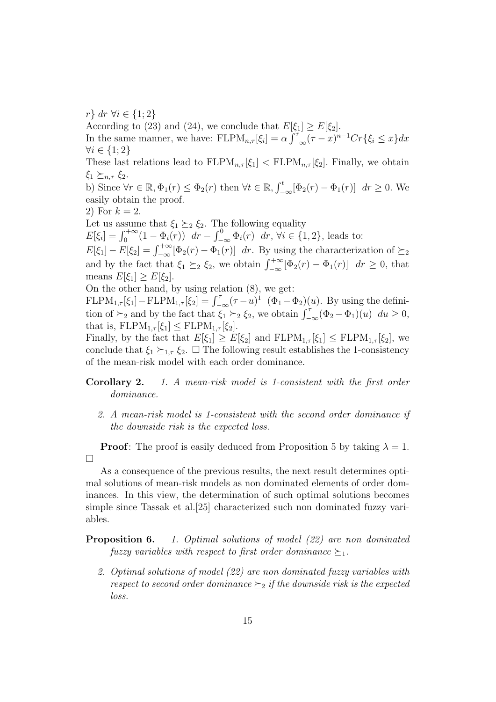$r$ } dr ∀i ∈ {1; 2}

According to (23) and (24), we conclude that  $E[\xi_1] \ge E[\xi_2]$ . In the same manner, we have:  $FLPM_{n,\tau}[\xi_i] = \alpha \int_{-\infty}^{\tau} (\tau - x)^{n-1} Cr\{\xi_i \leq x\} dx$  $\forall i \in \{1;2\}$ These last relations lead to  $FLPM_{n,\tau}[\xi_1] < FLPM_{n,\tau}[\xi_2]$ . Finally, we obtain

 $\xi_1 \succeq_{n,\tau} \xi_2$ .

b) Since  $\forall r \in \mathbb{R}, \Phi_1(r) \leq \Phi_2(r)$  then  $\forall t \in \mathbb{R}, \int_{-\infty}^t [\Phi_2(r) - \Phi_1(r)] dr \geq 0$ . We easily obtain the proof.

2) For  $k = 2$ .

Let us assume that  $\xi_1 \succeq_2 \xi_2$ . The following equality

 $E[\xi_i] = \int_0^{+\infty} (1 - \Phi_i(r)) dr - \int_{-\infty}^0 \Phi_i(r) dr, \, \forall i \in \{1, 2\}, \text{ leads to:}$ 

 $E[\xi_1] - E[\xi_2] = \int_{-\infty}^{+\infty} [\Phi_2(r) - \Phi_1(r)] dr$ . By using the characterization of  $\succeq_2$ and by the fact that  $\xi_1 \geq_2 \xi_2$ , we obtain  $\int_{-\infty}^{+\infty} [\Phi_2(r) - \Phi_1(r)] dr \geq 0$ , that means  $E[\xi_1] \geq E[\xi_2]$ .

On the other hand, by using relation (8), we get:

 $FLPM_{1,\tau}[\xi_1] - FLPM_{1,\tau}[\xi_2] = \int_{-\infty}^{\tau} (\tau - u)^{1} (\Phi_1 - \Phi_2)(u)$ . By using the definition of  $\succeq_2$  and by the fact that  $\xi_1 \succeq_2 \xi_2$ , we obtain  $\int_{-\infty}^{\tau} (\Phi_2 - \Phi_1)(u) \ du \ge 0$ , that is,  $FLPM_{1,\tau}[\xi_1] \leq FLPM_{1,\tau}[\xi_2]$ .

Finally, by the fact that  $E[\xi_1] \geq E[\xi_2]$  and  $FLPM_{1,\tau}[\xi_1] \leq FLPM_{1,\tau}[\xi_2]$ , we conclude that  $\xi_1 \succeq_{1,\tau} \xi_2$ .  $\Box$  The following result establishes the 1-consistency of the mean-risk model with each order dominance.

Corollary 2. 1. A mean-risk model is 1-consistent with the first order dominance.

2. A mean-risk model is 1-consistent with the second order dominance if the downside risk is the expected loss.

**Proof:** The proof is easily deduced from Proposition 5 by taking  $\lambda = 1$ .  $\Box$ 

As a consequence of the previous results, the next result determines optimal solutions of mean-risk models as non dominated elements of order dominances. In this view, the determination of such optimal solutions becomes simple since Tassak et al.[25] characterized such non dominated fuzzy variables.

**Proposition 6.** 1. Optimal solutions of model (22) are non dominated fuzzy variables with respect to first order dominance  $\succeq_1$ .

2. Optimal solutions of model (22) are non dominated fuzzy variables with respect to second order dominance  $\succeq_2$  if the downside risk is the expected loss.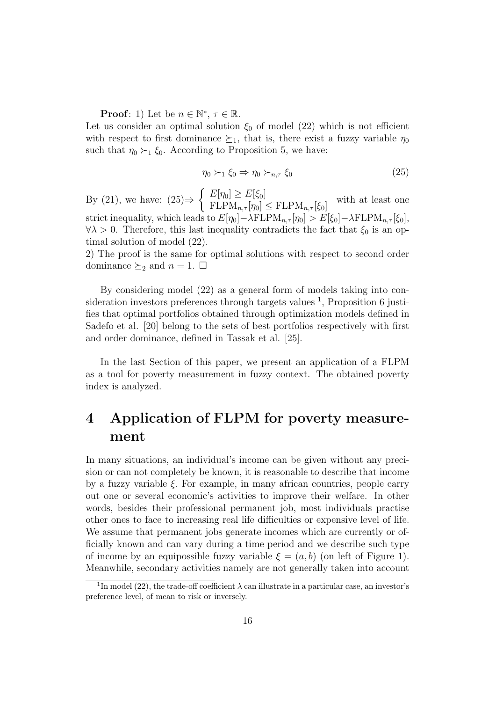**Proof**: 1) Let be  $n \in \mathbb{N}^*$ ,  $\tau \in \mathbb{R}$ .

Let us consider an optimal solution  $\xi_0$  of model (22) which is not efficient with respect to first dominance  $\succeq_1$ , that is, there exist a fuzzy variable  $\eta_0$ such that  $\eta_0 \succ_1 \xi_0$ . According to Proposition 5, we have:

$$
\eta_0 \succ_1 \xi_0 \Rightarrow \eta_0 \succ_{n,\tau} \xi_0 \tag{25}
$$

By (21), we have:  $(25) \Rightarrow$  $\int E[\eta_0] \geq E[\xi_0]$  $E[\mathcal{W}] \leq E[\mathcal{S}_0]$  with at least one<br>FLPM<sub>n, $\tau[\eta_0] \leq$ FLPM<sub>n, $\tau[\xi_0]$ </sub> with at least one</sub> strict inequality, which leads to  $E[\eta_0] - \lambda FLPM_{n,\tau}[\eta_0] > E[\xi_0] - \lambda FLPM_{n,\tau}[\xi_0],$  $\forall \lambda > 0$ . Therefore, this last inequality contradicts the fact that  $\xi_0$  is an optimal solution of model (22).

2) The proof is the same for optimal solutions with respect to second order dominance  $\succeq_2$  and  $n = 1$ .  $\square$ 

By considering model (22) as a general form of models taking into consideration investors preferences through targets values <sup>1</sup>, Proposition 6 justifies that optimal portfolios obtained through optimization models defined in Sadefo et al. [20] belong to the sets of best portfolios respectively with first and order dominance, defined in Tassak et al. [25].

In the last Section of this paper, we present an application of a FLPM as a tool for poverty measurement in fuzzy context. The obtained poverty index is analyzed.

## 4 Application of FLPM for poverty measurement

In many situations, an individual's income can be given without any precision or can not completely be known, it is reasonable to describe that income by a fuzzy variable  $\xi$ . For example, in many african countries, people carry out one or several economic's activities to improve their welfare. In other words, besides their professional permanent job, most individuals practise other ones to face to increasing real life difficulties or expensive level of life. We assume that permanent jobs generate incomes which are currently or officially known and can vary during a time period and we describe such type of income by an equipossible fuzzy variable  $\xi = (a, b)$  (on left of Figure 1). Meanwhile, secondary activities namely are not generally taken into account

<sup>&</sup>lt;sup>1</sup>In model (22), the trade-off coefficient  $\lambda$  can illustrate in a particular case, an investor's preference level, of mean to risk or inversely.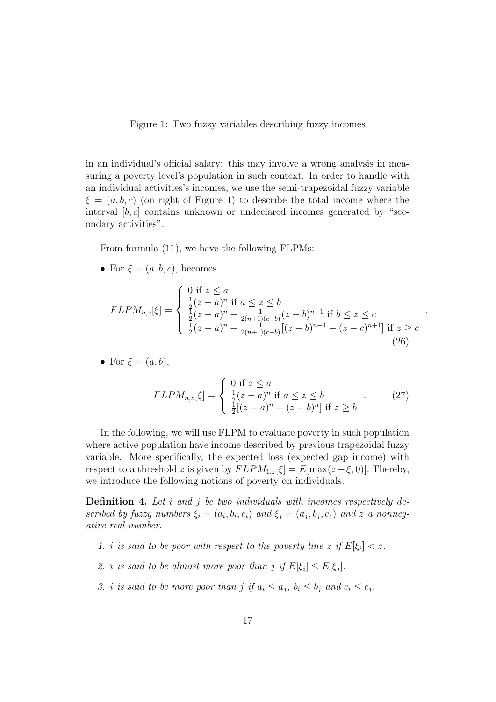Figure 1: Two fuzzy variables describing fuzzy incomes

in an individual's official salary: this may involve a wrong analysis in measuring a poverty level's population in such context. In order to handle with an individual activities's incomes, we use the semi-trapezoidal fuzzy variable  $\xi = (a, b, c)$  (on right of Figure 1) to describe the total income where the interval  $[b, c]$  contains unknown or undeclared incomes generated by "secondary activities".

From formula (11), we have the following FLPMs:

• For  $\xi = (a, b, c)$ , becomes

$$
FLPM_{n,z}[\xi] = \begin{cases} 0 \text{ if } z \le a \\ \frac{1}{2}(z-a)^n \text{ if } a \le z \le b \\ \frac{1}{2}(z-a)^n + \frac{1}{2(n+1)(c-b)}(z-b)^{n+1} \text{ if } b \le z \le c \\ \frac{1}{2}(z-a)^n + \frac{1}{2(n+1)(c-b)}[(z-b)^{n+1} - (z-c)^{n+1}] \text{ if } z \ge c \end{cases}
$$
(26)

• For 
$$
\xi = (a, b)
$$
,

$$
FLPM_{n,z}[\xi] = \begin{cases} 0 \text{ if } z \le a \\ \frac{1}{2}(z-a)^n \text{ if } a \le z \le b \\ \frac{1}{2}[(z-a)^n + (z-b)^n] \text{ if } z \ge b \end{cases} \tag{27}
$$

.

In the following, we will use FLPM to evaluate poverty in such population where active population have income described by previous trapezoidal fuzzy variable. More specifically, the expected loss (expected gap income) with respect to a threshold z is given by  $FLPM_{1,z}[\xi] = E[\max(z-\xi, 0)].$  Thereby, we introduce the following notions of poverty on individuals.

**Definition 4.** Let  $i$  and  $j$  be two individuals with incomes respectively described by fuzzy numbers  $\xi_i = (a_i, b_i, c_i)$  and  $\xi_j = (a_j, b_j, c_j)$  and z a nonnegative real number.

- 1. i is said to be poor with respect to the poverty line z if  $E[\xi_i] < z$ .
- 2. i is said to be almost more poor than j if  $E[\xi_i] \leq E[\xi_j]$ .
- 3. i is said to be more poor than j if  $a_i \leq a_j$ ,  $b_i \leq b_j$  and  $c_i \leq c_j$ .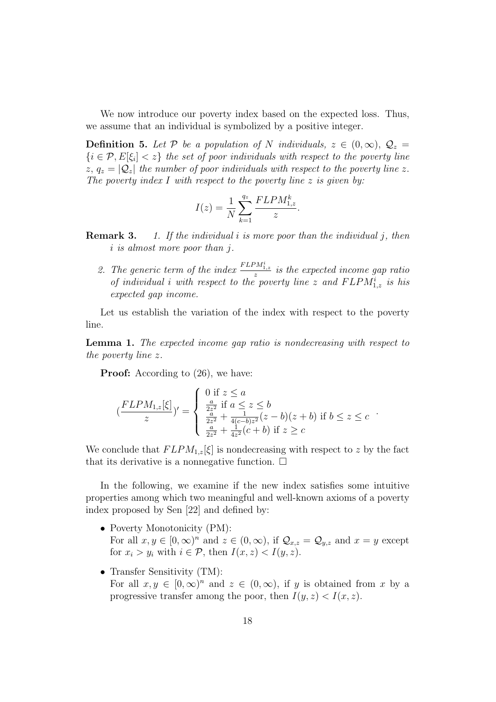We now introduce our poverty index based on the expected loss. Thus, we assume that an individual is symbolized by a positive integer.

**Definition 5.** Let P be a population of N individuals,  $z \in (0,\infty)$ ,  $\mathcal{Q}_z =$  $\{i \in \mathcal{P}, E[\xi_i] < z\}$  the set of poor individuals with respect to the poverty line  $z, q_z = |\mathcal{Q}_z|$  the number of poor individuals with respect to the poverty line z. The poverty index I with respect to the poverty line  $z$  is given by:

$$
I(z) = \frac{1}{N} \sum_{k=1}^{q_z} \frac{FLPM_{1,z}^k}{z}.
$$

- **Remark 3.** 1. If the individual i is more poor than the individual j, then i is almost more poor than j.
	- 2. The generic term of the index  $\frac{FLPM_{1,z}^i}{z}$  is the expected income gap ratio of individual i with respect to the poverty line z and  $FLPM_{1,z}^i$  is his expected gap income.

Let us establish the variation of the index with respect to the poverty line.

Lemma 1. The expected income gap ratio is nondecreasing with respect to the poverty line z.

**Proof:** According to  $(26)$ , we have:

$$
(\frac{FLPM_{1,z}[\xi]}{z})' = \begin{cases} 0 \text{ if } z \le a \\ \frac{a}{2z^2} \text{ if } a \le z \le b \\ \frac{a}{2z^2} + \frac{1}{4(c-b)z^2}(z-b)(z+b) \text{ if } b \le z \le c \\ \frac{a}{2z^2} + \frac{1}{4z^2}(c+b) \text{ if } z \ge c \end{cases}.
$$

We conclude that  $FLPM_{1,z}[\xi]$  is nondecreasing with respect to z by the fact that its derivative is a nonnegative function.  $\Box$ 

In the following, we examine if the new index satisfies some intuitive properties among which two meaningful and well-known axioms of a poverty index proposed by Sen [22] and defined by:

- Poverty Monotonicity (PM): For all  $x, y \in [0, \infty)^n$  and  $z \in (0, \infty)$ , if  $\mathcal{Q}_{x,z} = \mathcal{Q}_{y,z}$  and  $x = y$  except for  $x_i > y_i$  with  $i \in \mathcal{P}$ , then  $I(x, z) < I(y, z)$ .
- Transfer Sensitivity (TM): For all  $x, y \in [0, \infty)^n$  and  $z \in (0, \infty)$ , if y is obtained from x by a progressive transfer among the poor, then  $I(y, z) < I(x, z)$ .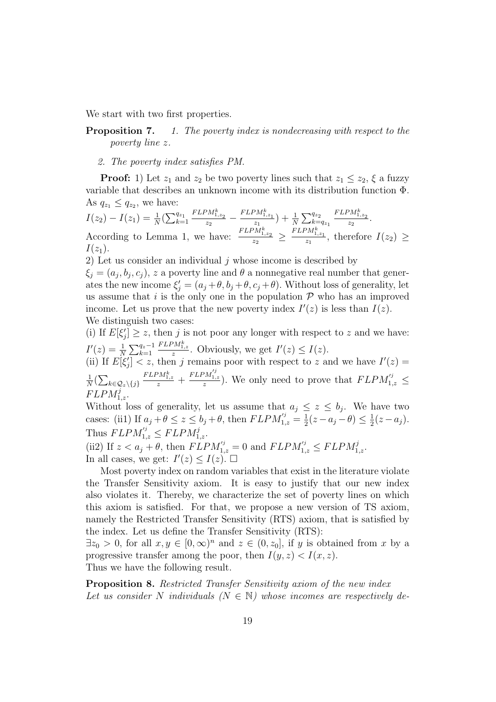We start with two first properties.

**Proposition 7.** 1. The poverty index is nondecreasing with respect to the poverty line z.

2. The poverty index satisfies PM.

**Proof:** 1) Let  $z_1$  and  $z_2$  be two poverty lines such that  $z_1 \leq z_2$ ,  $\xi$  a fuzzy variable that describes an unknown income with its distribution function Φ. As  $q_{z_1} \leq q_{z_2}$ , we have:

$$
I(z_2) - I(z_1) = \frac{1}{N} \left( \sum_{k=1}^{q_{z_1}} \frac{FLPM_{1,z_2}^k}{z_2} - \frac{FLPM_{1,z_1}^k}{z_1} \right) + \frac{1}{N} \sum_{k=q_{z_1}}^{q_{z_2}} \frac{FLPM_{1,z_2}^k}{z_2}.
$$
  
According to Lemma 1, we have:  $\frac{FLPM_{1,z_2}^k}{z_2} \ge \frac{FLPM_{1,z_1}^k}{z_1}$ , therefore  $I(z_2) \ge I(z_1)$ .

2) Let us consider an individual  $i$  whose income is described by

 $\xi_j = (a_j, b_j, c_j)$ , z a poverty line and  $\theta$  a nonnegative real number that generates the new income  $\xi_j' = (a_j + \theta, b_j + \theta, c_j + \theta)$ . Without loss of generality, let us assume that i is the only one in the population  $P$  who has an improved income. Let us prove that the new poverty index  $I'(z)$  is less than  $I(z)$ . We distinguish two cases:

(i) If  $E[\xi_j'] \geq z$ , then j is not poor any longer with respect to z and we have:  $I'(z) = \frac{1}{N} \sum_{k=1}^{q_z-1}$  $\frac{FLPM_{1,z}^k}{z}$ . Obviously, we get  $I'(z) \leq I(z)$ .

(ii) If  $E[\xi_j] < z$ , then j remains poor with respect to z and we have  $I'(z) =$ 1  $\frac{1}{N}(\sum_{k\in\mathcal{Q}_z\setminus\{j\}}$  $\frac{FLPM_{1,z}^k}{z}$  +  $\frac{FLPM_{1,z}^{'j}}{z}$ ). We only need to prove that  $FLPM_{1,z}^{'j} \leq$  $FLPM_{1,z}^j$ .

Without loss of generality, let us assume that  $a_j \leq z \leq b_j$ . We have two cases: (ii1) If  $a_j + \theta \leq z \leq b_j + \theta$ , then  $FLPM_{1,z}^{'j} = \frac{1}{2}$  $\frac{1}{2}(z-a_j-\theta) \leq \frac{1}{2}$  $rac{1}{2}(z-a_j).$ Thus  $FLPM_{1,z}^{'j} \leq FLPM_{1,z}^{j}$ .

(ii2) If  $z < a_j + \theta$ , then  $FLPM_{1,z}^{j'} = 0$  and  $FLPM_{1,z}^{j'} \le FLPM_{1,z}^{j}$ . In all cases, we get:  $I'(z) \leq I(z)$ .

Most poverty index on random variables that exist in the literature violate the Transfer Sensitivity axiom. It is easy to justify that our new index also violates it. Thereby, we characterize the set of poverty lines on which this axiom is satisfied. For that, we propose a new version of TS axiom, namely the Restricted Transfer Sensitivity (RTS) axiom, that is satisfied by the index. Let us define the Transfer Sensitivity (RTS):

 $\exists z_0 > 0$ , for all  $x, y \in [0, \infty)^n$  and  $z \in (0, z_0]$ , if y is obtained from x by a progressive transfer among the poor, then  $I(y, z) < I(x, z)$ .

Thus we have the following result.

Proposition 8. Restricted Transfer Sensitivity axiom of the new index Let us consider N individuals  $(N \in \mathbb{N})$  whose incomes are respectively de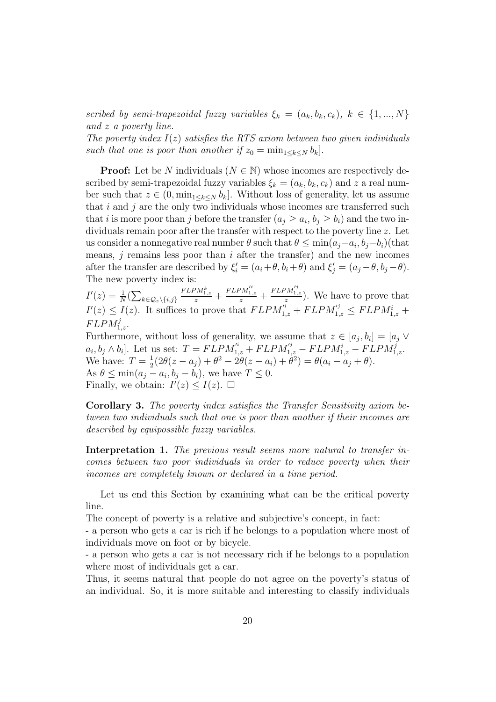scribed by semi-trapezoidal fuzzy variables  $\xi_k = (a_k, b_k, c_k), k \in \{1, ..., N\}$ and z a poverty line.

The poverty index  $I(z)$  satisfies the RTS axiom between two given individuals such that one is poor than another if  $z_0 = \min_{1 \leq k \leq N} b_k$ .

**Proof:** Let be N individuals ( $N \in \mathbb{N}$ ) whose incomes are respectively described by semi-trapezoidal fuzzy variables  $\xi_k = (a_k, b_k, c_k)$  and z a real number such that  $z \in (0, \min_{1 \leq k \leq N} b_k]$ . Without loss of generality, let us assume that  $i$  and  $j$  are the only two individuals whose incomes are transferred such that *i* is more poor than *j* before the transfer  $(a_j \ge a_i, b_j \ge b_i)$  and the two individuals remain poor after the transfer with respect to the poverty line z. Let us consider a nonnegative real number  $\theta$  such that  $\theta \le \min(a_j - a_i, b_j - b_i)$  (that means,  $j$  remains less poor than  $i$  after the transfer) and the new incomes after the transfer are described by  $\xi_i' = (a_i + \theta, b_i + \theta)$  and  $\xi_j' = (a_j - \theta, b_j - \theta)$ . The new poverty index is:

 $I'(z) = \frac{1}{N}(\sum_{k \in \mathcal{Q}_z \setminus \{i,j\}}$  $\frac{FLPM_{1,z}^k}{z}$  +  $\frac{FLPM_{1,z}^{'i}}{z} +$  $\frac{FLPM_{1,z}^{'j}}{z}$ ). We have to prove that  $I'(z) \leq I(z)$ . It suffices to prove that  $FLPM_{1,z}'^i + FLPM_{1,z}'^i \leq FLPM_{1,z}^i +$  $FLPM_{1,z}^j$ .

Furthermore, without loss of generality, we assume that  $z \in [a_j, b_i] = [a_j \vee b_i]$  $a_i, b_j \wedge b_i$ . Let us set:  $T = FLPM_{1,z}^{'i} + FLPM_{1,z}^{'j} - FLPM_{1,z}^{i} - FLPM_{1,z}^{j}$ . We have:  $T=\frac{1}{2}$  $\frac{1}{2}(2\theta(z-a_j)+\theta^2-2\theta(z-a_i)+\theta^2)=\theta(a_i-a_j+\theta).$ As  $\theta \leq \min(a_j - a_i, b_j - b_i)$ , we have  $T \leq 0$ . Finally, we obtain:  $I'(z) \leq I(z)$ .  $\Box$ 

Corollary 3. The poverty index satisfies the Transfer Sensitivity axiom between two individuals such that one is poor than another if their incomes are described by equipossible fuzzy variables.

Interpretation 1. The previous result seems more natural to transfer incomes between two poor individuals in order to reduce poverty when their incomes are completely known or declared in a time period.

Let us end this Section by examining what can be the critical poverty line.

The concept of poverty is a relative and subjective's concept, in fact:

- a person who gets a car is rich if he belongs to a population where most of individuals move on foot or by bicycle.

- a person who gets a car is not necessary rich if he belongs to a population where most of individuals get a car.

Thus, it seems natural that people do not agree on the poverty's status of an individual. So, it is more suitable and interesting to classify individuals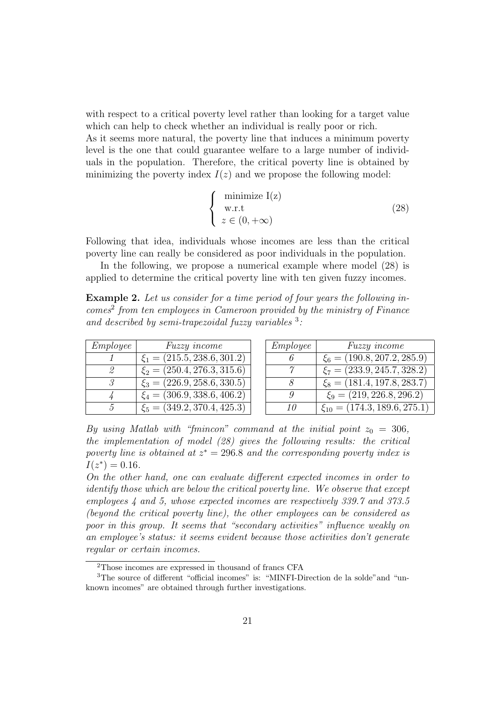with respect to a critical poverty level rather than looking for a target value which can help to check whether an individual is really poor or rich.

As it seems more natural, the poverty line that induces a minimum poverty level is the one that could guarantee welfare to a large number of individuals in the population. Therefore, the critical poverty line is obtained by minimizing the poverty index  $I(z)$  and we propose the following model:

$$
\begin{cases}\n\text{minimize } I(z) \\
\text{w.r.t} \\
z \in (0, +\infty)\n\end{cases} \tag{28}
$$

Following that idea, individuals whose incomes are less than the critical poverty line can really be considered as poor individuals in the population.

In the following, we propose a numerical example where model (28) is applied to determine the critical poverty line with ten given fuzzy incomes.

Example 2. Let us consider for a time period of four years the following incomes<sup>2</sup> from ten employees in Cameroon provided by the ministry of Finance and described by semi-trapezoidal fuzzy variables  $3$ .

| <i>Employee</i> | <i>Fuzzy income</i>                        |
|-----------------|--------------------------------------------|
|                 | $\xi_1 = (215.5, 238.6, 301.2)$            |
| 2               | $\xi_2 = (250.4, 276.3, 315.6)$            |
| $\mathcal{S}$   | $\xi_3 = (226.9, \overline{258.6, 330.5})$ |
|                 | $\xi_4 = (306.9, 338.6, 406.2)$            |
| 5               | $\xi_5 = (349.2, \overline{370.4, 425.3})$ |

| <i>Employee</i> | <i>Fuzzy income</i>                |
|-----------------|------------------------------------|
|                 | $\xi_6 = (190.8, 207.2, 285.9)$    |
| $\gamma$        | $\xi_7 = (233.9, 245.7, 328.2)$    |
| 8               | $\xi_8 = (181.4, 197.8, 283.7)$    |
| Q               | $\xi_9 = (219, 226.8, 296.2)$      |
| 10              | $\xi_{10} = (174.3, 189.6, 275.1)$ |

By using Matlab with "fmincon" command at the initial point  $z_0 = 306$ , the implementation of model (28) gives the following results: the critical poverty line is obtained at  $z^* = 296.8$  and the corresponding poverty index is  $I(z^*) = 0.16$ .

On the other hand, one can evaluate different expected incomes in order to identify those which are below the critical poverty line. We observe that except employees 4 and 5, whose expected incomes are respectively 339.7 and 373.5 (beyond the critical poverty line), the other employees can be considered as poor in this group. It seems that "secondary activities" influence weakly on an employee's status: it seems evident because those activities don't generate regular or certain incomes.

 $^{2} \mathrm{Those}$  incomes are expressed in thousand of francs CFA

<sup>3</sup>The source of different "official incomes" is: "MINFI-Direction de la solde"and "unknown incomes" are obtained through further investigations.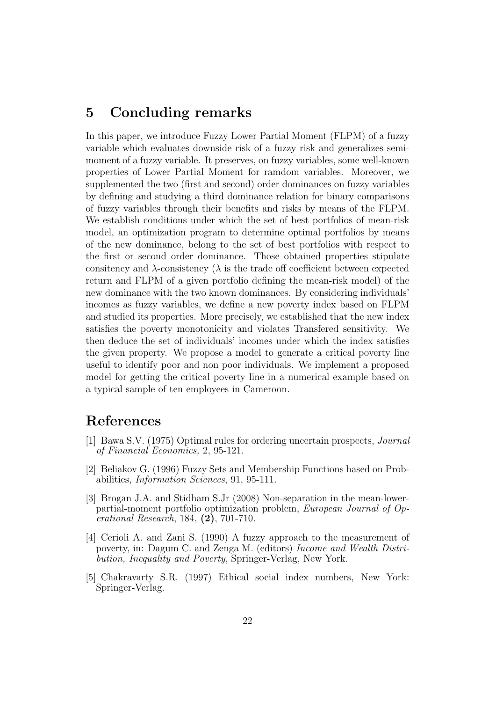#### 5 Concluding remarks

In this paper, we introduce Fuzzy Lower Partial Moment (FLPM) of a fuzzy variable which evaluates downside risk of a fuzzy risk and generalizes semimoment of a fuzzy variable. It preserves, on fuzzy variables, some well-known properties of Lower Partial Moment for ramdom variables. Moreover, we supplemented the two (first and second) order dominances on fuzzy variables by defining and studying a third dominance relation for binary comparisons of fuzzy variables through their benefits and risks by means of the FLPM. We establish conditions under which the set of best portfolios of mean-risk model, an optimization program to determine optimal portfolios by means of the new dominance, belong to the set of best portfolios with respect to the first or second order dominance. Those obtained properties stipulate consitency and  $\lambda$ -consistency ( $\lambda$  is the trade off coefficient between expected return and FLPM of a given portfolio defining the mean-risk model) of the new dominance with the two known dominances. By considering individuals' incomes as fuzzy variables, we define a new poverty index based on FLPM and studied its properties. More precisely, we established that the new index satisfies the poverty monotonicity and violates Transfered sensitivity. We then deduce the set of individuals' incomes under which the index satisfies the given property. We propose a model to generate a critical poverty line useful to identify poor and non poor individuals. We implement a proposed model for getting the critical poverty line in a numerical example based on a typical sample of ten employees in Cameroon.

#### References

- [1] Bawa S.V. (1975) Optimal rules for ordering uncertain prospects, Journal of Financial Economics, 2, 95-121.
- [2] Beliakov G. (1996) Fuzzy Sets and Membership Functions based on Probabilities, Information Sciences, 91, 95-111.
- [3] Brogan J.A. and Stidham S.Jr (2008) Non-separation in the mean-lowerpartial-moment portfolio optimization problem, European Journal of Operational Research, 184, (2), 701-710.
- [4] Cerioli A. and Zani S. (1990) A fuzzy approach to the measurement of poverty, in: Dagum C. and Zenga M. (editors) Income and Wealth Distribution, Inequality and Poverty, Springer-Verlag, New York.
- [5] Chakravarty S.R. (1997) Ethical social index numbers, New York: Springer-Verlag.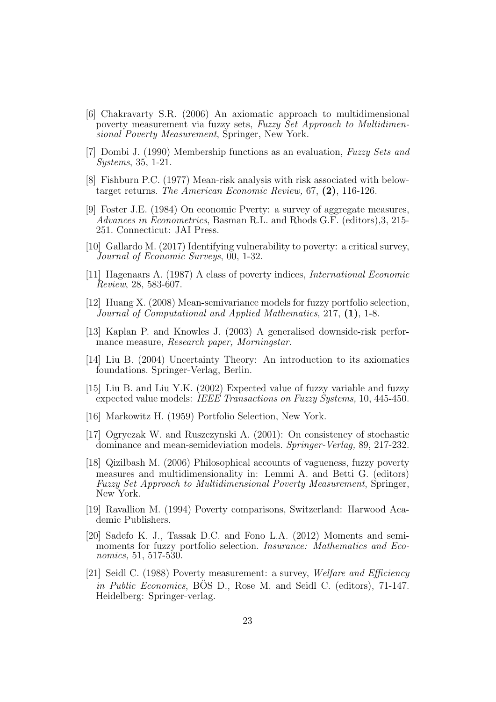- [6] Chakravarty S.R. (2006) An axiomatic approach to multidimensional poverty measurement via fuzzy sets, Fuzzy Set Approach to Multidimensional Poverty Measurement, Springer, New York.
- [7] Dombi J. (1990) Membership functions as an evaluation, Fuzzy Sets and Systems, 35, 1-21.
- [8] Fishburn P.C. (1977) Mean-risk analysis with risk associated with belowtarget returns. The American Economic Review, 67, (2), 116-126.
- [9] Foster J.E. (1984) On economic Pverty: a survey of aggregate measures, Advances in Econometrics, Basman R.L. and Rhods G.F. (editors),3, 215- 251. Connecticut: JAI Press.
- [10] Gallardo M. (2017) Identifying vulnerability to poverty: a critical survey, Journal of Economic Surveys, 00, 1-32.
- [11] Hagenaars A. (1987) A class of poverty indices, International Economic Review, 28, 583-607.
- [12] Huang X. (2008) Mean-semivariance models for fuzzy portfolio selection, Journal of Computational and Applied Mathematics, 217, (1), 1-8.
- [13] Kaplan P. and Knowles J. (2003) A generalised downside-risk performance measure, Research paper, Morningstar.
- [14] Liu B. (2004) Uncertainty Theory: An introduction to its axiomatics foundations. Springer-Verlag, Berlin.
- [15] Liu B. and Liu Y.K. (2002) Expected value of fuzzy variable and fuzzy expected value models: IEEE Transactions on Fuzzy Systems, 10, 445-450.
- [16] Markowitz H. (1959) Portfolio Selection, New York.
- [17] Ogryczak W. and Ruszczynski A. (2001): On consistency of stochastic dominance and mean-semideviation models. Springer-Verlag, 89, 217-232.
- [18] Qizilbash M. (2006) Philosophical accounts of vagueness, fuzzy poverty measures and multidimensionality in: Lemmi A. and Betti G. (editors) Fuzzy Set Approach to Multidimensional Poverty Measurement, Springer, New York.
- [19] Ravallion M. (1994) Poverty comparisons, Switzerland: Harwood Academic Publishers.
- [20] Sadefo K. J., Tassak D.C. and Fono L.A. (2012) Moments and semimoments for fuzzy portfolio selection. Insurance: Mathematics and Economics, 51, 517-530.
- [21] Seidl C. (1988) Poverty measurement: a survey, Welfare and Efficiency in Public Economics, BOS D., Rose M. and Seidl C. (editors), 71-147. Heidelberg: Springer-verlag.